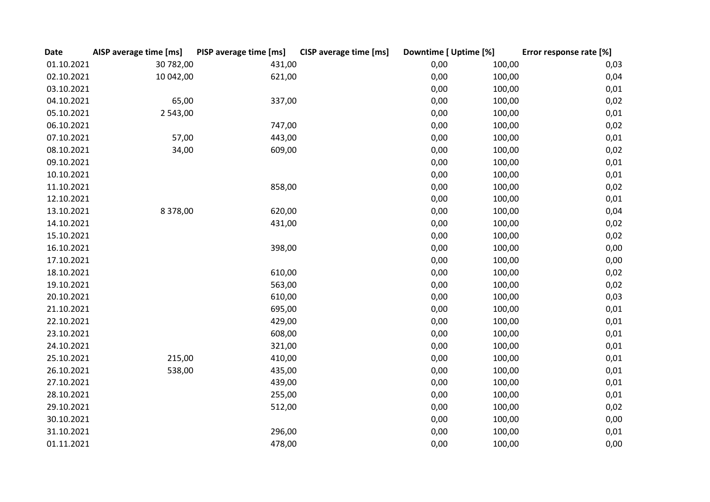| <b>Date</b> | AISP average time [ms] | PISP average time [ms] | <b>CISP</b> average time [ms] | Downtime [ Uptime [%] |        | Error response rate [%] |
|-------------|------------------------|------------------------|-------------------------------|-----------------------|--------|-------------------------|
| 01.10.2021  | 30 782,00              | 431,00                 |                               | 0,00                  | 100,00 | 0,03                    |
| 02.10.2021  | 10 042,00              | 621,00                 |                               | 0,00                  | 100,00 | 0,04                    |
| 03.10.2021  |                        |                        |                               | 0,00                  | 100,00 | 0,01                    |
| 04.10.2021  | 65,00                  | 337,00                 |                               | 0,00                  | 100,00 | 0,02                    |
| 05.10.2021  | 2 543,00               |                        |                               | 0,00                  | 100,00 | 0,01                    |
| 06.10.2021  |                        | 747,00                 |                               | 0,00                  | 100,00 | 0,02                    |
| 07.10.2021  | 57,00                  | 443,00                 |                               | 0,00                  | 100,00 | 0,01                    |
| 08.10.2021  | 34,00                  | 609,00                 |                               | 0,00                  | 100,00 | 0,02                    |
| 09.10.2021  |                        |                        |                               | 0,00                  | 100,00 | 0,01                    |
| 10.10.2021  |                        |                        |                               | 0,00                  | 100,00 | 0,01                    |
| 11.10.2021  |                        | 858,00                 |                               | 0,00                  | 100,00 | 0,02                    |
| 12.10.2021  |                        |                        |                               | 0,00                  | 100,00 | 0,01                    |
| 13.10.2021  | 8 3 7 8 , 0 0          | 620,00                 |                               | 0,00                  | 100,00 | 0,04                    |
| 14.10.2021  |                        | 431,00                 |                               | 0,00                  | 100,00 | 0,02                    |
| 15.10.2021  |                        |                        |                               | 0,00                  | 100,00 | 0,02                    |
| 16.10.2021  |                        | 398,00                 |                               | 0,00                  | 100,00 | 0,00                    |
| 17.10.2021  |                        |                        |                               | 0,00                  | 100,00 | 0,00                    |
| 18.10.2021  |                        | 610,00                 |                               | 0,00                  | 100,00 | 0,02                    |
| 19.10.2021  |                        | 563,00                 |                               | 0,00                  | 100,00 | 0,02                    |
| 20.10.2021  |                        | 610,00                 |                               | 0,00                  | 100,00 | 0,03                    |
| 21.10.2021  |                        | 695,00                 |                               | 0,00                  | 100,00 | 0,01                    |
| 22.10.2021  |                        | 429,00                 |                               | 0,00                  | 100,00 | 0,01                    |
| 23.10.2021  |                        | 608,00                 |                               | 0,00                  | 100,00 | 0,01                    |
| 24.10.2021  |                        | 321,00                 |                               | 0,00                  | 100,00 | 0,01                    |
| 25.10.2021  | 215,00                 | 410,00                 |                               | 0,00                  | 100,00 | 0,01                    |
| 26.10.2021  | 538,00                 | 435,00                 |                               | 0,00                  | 100,00 | 0,01                    |
| 27.10.2021  |                        | 439,00                 |                               | 0,00                  | 100,00 | 0,01                    |
| 28.10.2021  |                        | 255,00                 |                               | 0,00                  | 100,00 | 0,01                    |
| 29.10.2021  |                        | 512,00                 |                               | 0,00                  | 100,00 | 0,02                    |
| 30.10.2021  |                        |                        |                               | 0,00                  | 100,00 | 0,00                    |
| 31.10.2021  |                        | 296,00                 |                               | 0,00                  | 100,00 | 0,01                    |
| 01.11.2021  |                        | 478,00                 |                               | 0,00                  | 100,00 | 0,00                    |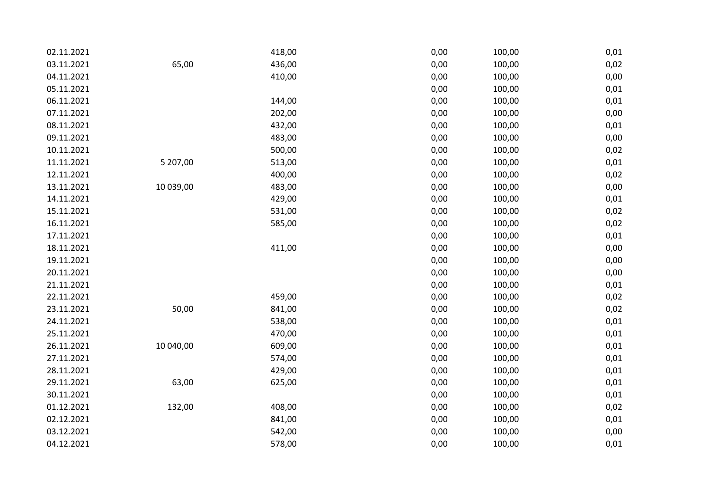| 02.11.2021 |           | 418,00 | 0,00 | 100,00 | 0,01 |
|------------|-----------|--------|------|--------|------|
| 03.11.2021 | 65,00     | 436,00 | 0,00 | 100,00 | 0,02 |
| 04.11.2021 |           | 410,00 | 0,00 | 100,00 | 0,00 |
| 05.11.2021 |           |        | 0,00 | 100,00 | 0,01 |
| 06.11.2021 |           | 144,00 | 0,00 | 100,00 | 0,01 |
| 07.11.2021 |           | 202,00 | 0,00 | 100,00 | 0,00 |
| 08.11.2021 |           | 432,00 | 0,00 | 100,00 | 0,01 |
| 09.11.2021 |           | 483,00 | 0,00 | 100,00 | 0,00 |
| 10.11.2021 |           | 500,00 | 0,00 | 100,00 | 0,02 |
| 11.11.2021 | 5 207,00  | 513,00 | 0,00 | 100,00 | 0,01 |
| 12.11.2021 |           | 400,00 | 0,00 | 100,00 | 0,02 |
| 13.11.2021 | 10 039,00 | 483,00 | 0,00 | 100,00 | 0,00 |
| 14.11.2021 |           | 429,00 | 0,00 | 100,00 | 0,01 |
| 15.11.2021 |           | 531,00 | 0,00 | 100,00 | 0,02 |
| 16.11.2021 |           | 585,00 | 0,00 | 100,00 | 0,02 |
| 17.11.2021 |           |        | 0,00 | 100,00 | 0,01 |
| 18.11.2021 |           | 411,00 | 0,00 | 100,00 | 0,00 |
| 19.11.2021 |           |        | 0,00 | 100,00 | 0,00 |
| 20.11.2021 |           |        | 0,00 | 100,00 | 0,00 |
| 21.11.2021 |           |        | 0,00 | 100,00 | 0,01 |
| 22.11.2021 |           | 459,00 | 0,00 | 100,00 | 0,02 |
| 23.11.2021 | 50,00     | 841,00 | 0,00 | 100,00 | 0,02 |
| 24.11.2021 |           | 538,00 | 0,00 | 100,00 | 0,01 |
| 25.11.2021 |           | 470,00 | 0,00 | 100,00 | 0,01 |
| 26.11.2021 | 10 040,00 | 609,00 | 0,00 | 100,00 | 0,01 |
| 27.11.2021 |           | 574,00 | 0,00 | 100,00 | 0,01 |
| 28.11.2021 |           | 429,00 | 0,00 | 100,00 | 0,01 |
| 29.11.2021 | 63,00     | 625,00 | 0,00 | 100,00 | 0,01 |
| 30.11.2021 |           |        | 0,00 | 100,00 | 0,01 |
| 01.12.2021 | 132,00    | 408,00 | 0,00 | 100,00 | 0,02 |
| 02.12.2021 |           | 841,00 | 0,00 | 100,00 | 0,01 |
| 03.12.2021 |           | 542,00 | 0,00 | 100,00 | 0,00 |
| 04.12.2021 |           | 578,00 | 0,00 | 100,00 | 0,01 |